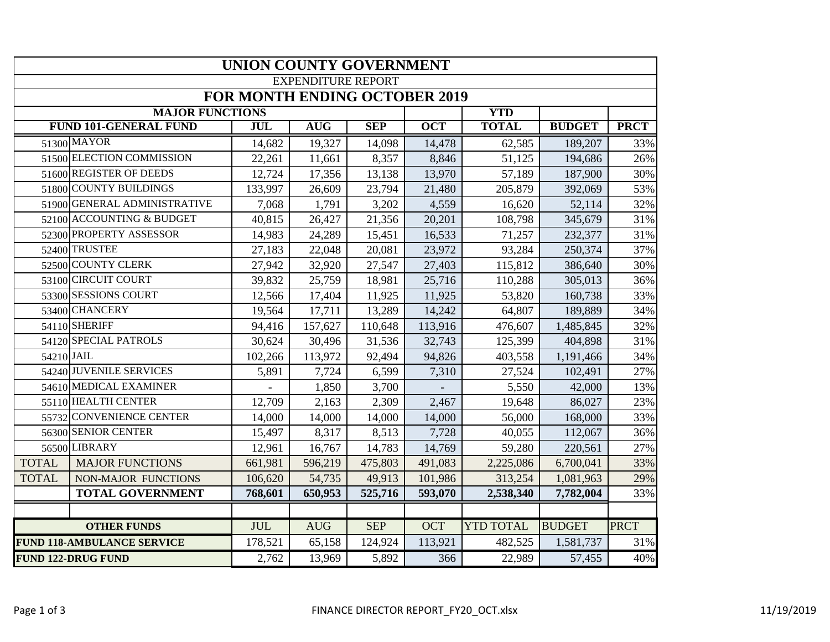|                                   | <b>UNION COUNTY GOVERNMENT</b>       |            |            |            |            |                  |               |             |  |  |  |  |  |
|-----------------------------------|--------------------------------------|------------|------------|------------|------------|------------------|---------------|-------------|--|--|--|--|--|
| <b>EXPENDITURE REPORT</b>         |                                      |            |            |            |            |                  |               |             |  |  |  |  |  |
|                                   | <b>FOR MONTH ENDING OCTOBER 2019</b> |            |            |            |            |                  |               |             |  |  |  |  |  |
|                                   | <b>MAJOR FUNCTIONS</b>               |            |            |            |            | <b>YTD</b>       |               |             |  |  |  |  |  |
|                                   | <b>FUND 101-GENERAL FUND</b>         | <b>JUL</b> | <b>AUG</b> | <b>SEP</b> | <b>OCT</b> | <b>TOTAL</b>     | <b>BUDGET</b> | <b>PRCT</b> |  |  |  |  |  |
|                                   | 51300 MAYOR                          | 14,682     | 19,327     | 14,098     | 14,478     | 62,585           | 189,207       | 33%         |  |  |  |  |  |
|                                   | 51500 ELECTION COMMISSION            | 22,261     | 11,661     | 8,357      | 8,846      | 51,125           | 194,686       | 26%         |  |  |  |  |  |
|                                   | 51600 REGISTER OF DEEDS              | 12,724     | 17,356     | 13,138     | 13,970     | 57,189           | 187,900       | 30%         |  |  |  |  |  |
|                                   | 51800 COUNTY BUILDINGS               | 133,997    | 26,609     | 23,794     | 21,480     | 205,879          | 392,069       | 53%         |  |  |  |  |  |
|                                   | 51900 GENERAL ADMINISTRATIVE         | 7,068      | 1,791      | 3,202      | 4,559      | 16,620           | 52,114        | 32%         |  |  |  |  |  |
|                                   | 52100 ACCOUNTING & BUDGET            | 40,815     | 26,427     | 21,356     | 20,201     | 108,798          | 345,679       | 31%         |  |  |  |  |  |
|                                   | 52300 PROPERTY ASSESSOR              | 14,983     | 24,289     | 15,451     | 16,533     | 71,257           | 232,377       | 31%         |  |  |  |  |  |
|                                   | 52400 TRUSTEE                        | 27,183     | 22,048     | 20,081     | 23,972     | 93,284           | 250,374       | 37%         |  |  |  |  |  |
|                                   | 52500 COUNTY CLERK                   | 27,942     | 32,920     | 27,547     | 27,403     | 115,812          | 386,640       | 30%         |  |  |  |  |  |
|                                   | 53100 CIRCUIT COURT                  | 39,832     | 25,759     | 18,981     | 25,716     | 110,288          | 305,013       | 36%         |  |  |  |  |  |
|                                   | 53300 SESSIONS COURT                 | 12,566     | 17,404     | 11,925     | 11,925     | 53,820           | 160,738       | 33%         |  |  |  |  |  |
|                                   | 53400 CHANCERY                       | 19,564     | 17,711     | 13,289     | 14,242     | 64,807           | 189,889       | 34%         |  |  |  |  |  |
|                                   | 54110 SHERIFF                        | 94,416     | 157,627    | 110,648    | 113,916    | 476,607          | 1,485,845     | 32%         |  |  |  |  |  |
|                                   | 54120 SPECIAL PATROLS                | 30,624     | 30,496     | 31,536     | 32,743     | 125,399          | 404,898       | 31%         |  |  |  |  |  |
| 54210 JAIL                        |                                      | 102,266    | 113,972    | 92,494     | 94,826     | 403,558          | 1,191,466     | 34%         |  |  |  |  |  |
|                                   | 54240 JUVENILE SERVICES              | 5,891      | 7,724      | 6,599      | 7,310      | 27,524           | 102,491       | 27%         |  |  |  |  |  |
|                                   | 54610 MEDICAL EXAMINER               |            | 1,850      | 3,700      |            | 5,550            | 42,000        | 13%         |  |  |  |  |  |
|                                   | 55110 HEALTH CENTER                  | 12,709     | 2,163      | 2,309      | 2,467      | 19,648           | 86,027        | 23%         |  |  |  |  |  |
|                                   | 55732 CONVENIENCE CENTER             | 14,000     | 14,000     | 14,000     | 14,000     | 56,000           | 168,000       | 33%         |  |  |  |  |  |
|                                   | 56300 SENIOR CENTER                  | 15,497     | 8,317      | 8,513      | 7,728      | 40,055           | 112,067       | 36%         |  |  |  |  |  |
|                                   | 56500 LIBRARY                        | 12,961     | 16,767     | 14,783     | 14,769     | 59,280           | 220,561       | 27%         |  |  |  |  |  |
| <b>TOTAL</b>                      | <b>MAJOR FUNCTIONS</b>               | 661,981    | 596,219    | 475,803    | 491,083    | 2,225,086        | 6,700,041     | 33%         |  |  |  |  |  |
| <b>TOTAL</b>                      | NON-MAJOR FUNCTIONS                  | 106,620    | 54,735     | 49,913     | 101,986    | 313,254          | 1,081,963     | 29%         |  |  |  |  |  |
|                                   | <b>TOTAL GOVERNMENT</b>              | 768,601    | 650,953    | 525,716    | 593,070    | 2,538,340        | 7,782,004     | 33%         |  |  |  |  |  |
|                                   |                                      |            |            |            |            |                  |               |             |  |  |  |  |  |
|                                   | <b>OTHER FUNDS</b>                   | JUL        | <b>AUG</b> | <b>SEP</b> | <b>OCT</b> | <b>YTD TOTAL</b> | <b>BUDGET</b> | <b>PRCT</b> |  |  |  |  |  |
| <b>FUND 118-AMBULANCE SERVICE</b> |                                      | 178,521    | 65,158     | 124,924    | 113,921    | 482,525          | 1,581,737     | 31%         |  |  |  |  |  |
| <b>FUND 122-DRUG FUND</b>         |                                      | 2,762      | 13,969     | 5,892      | 366        | 22,989           | 57,455        | 40%         |  |  |  |  |  |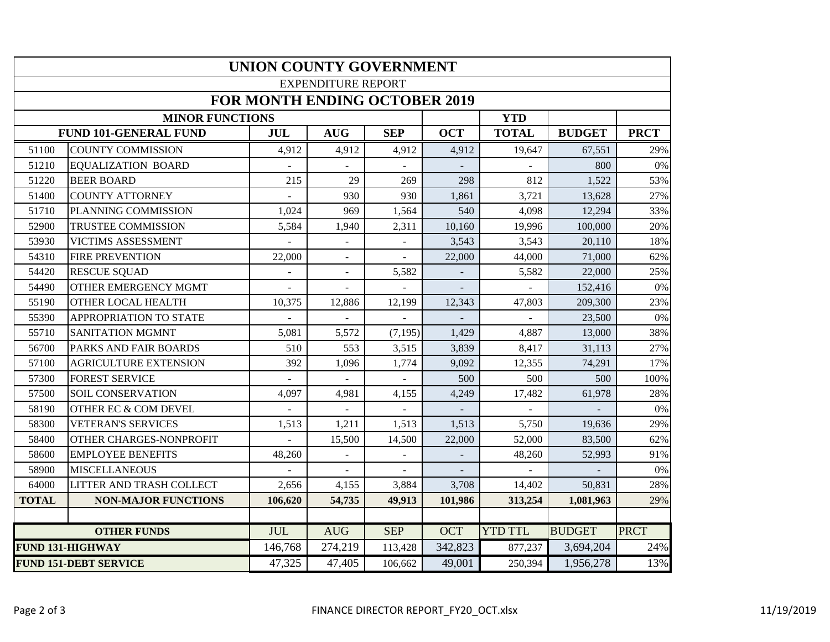| <b>UNION COUNTY GOVERNMENT</b>       |                              |            |                          |                |            |                |               |             |  |  |  |
|--------------------------------------|------------------------------|------------|--------------------------|----------------|------------|----------------|---------------|-------------|--|--|--|
| <b>EXPENDITURE REPORT</b>            |                              |            |                          |                |            |                |               |             |  |  |  |
| <b>FOR MONTH ENDING OCTOBER 2019</b> |                              |            |                          |                |            |                |               |             |  |  |  |
|                                      | <b>MINOR FUNCTIONS</b>       |            |                          |                |            | <b>YTD</b>     |               |             |  |  |  |
|                                      | <b>FUND 101-GENERAL FUND</b> | <b>JUL</b> | <b>AUG</b>               | <b>SEP</b>     | <b>OCT</b> | <b>TOTAL</b>   | <b>BUDGET</b> | <b>PRCT</b> |  |  |  |
| 51100                                | <b>COUNTY COMMISSION</b>     | 4,912      | 4,912                    | 4,912          | 4,912      | 19,647         | 67,551        | 29%         |  |  |  |
| 51210                                | <b>EQUALIZATION BOARD</b>    |            |                          |                |            |                | 800           | 0%          |  |  |  |
| 51220                                | <b>BEER BOARD</b>            | 215        | 29                       | 269            | 298        | 812            | 1,522         | 53%         |  |  |  |
| 51400                                | <b>COUNTY ATTORNEY</b>       |            | 930                      | 930            | 1,861      | 3,721          | 13,628        | 27%         |  |  |  |
| 51710                                | PLANNING COMMISSION          | 1,024      | 969                      | 1,564          | 540        | 4,098          | 12,294        | 33%         |  |  |  |
| 52900                                | TRUSTEE COMMISSION           | 5,584      | 1,940                    | 2,311          | 10,160     | 19,996         | 100,000       | 20%         |  |  |  |
| 53930                                | VICTIMS ASSESSMENT           |            |                          |                | 3,543      | 3,543          | 20,110        | 18%         |  |  |  |
| 54310                                | <b>FIRE PREVENTION</b>       | 22,000     |                          |                | 22,000     | 44,000         | 71,000        | 62%         |  |  |  |
| 54420                                | <b>RESCUE SQUAD</b>          |            | $\overline{\phantom{a}}$ | 5,582          |            | 5,582          | 22,000        | 25%         |  |  |  |
| 54490                                | OTHER EMERGENCY MGMT         |            |                          |                |            |                | 152,416       | $0\%$       |  |  |  |
| 55190                                | OTHER LOCAL HEALTH           | 10,375     | 12,886                   | 12,199         | 12,343     | 47,803         | 209,300       | 23%         |  |  |  |
| 55390                                | APPROPRIATION TO STATE       | $\sim$     |                          | $\mathbb{L}^+$ |            |                | 23,500        | 0%          |  |  |  |
| 55710                                | SANITATION MGMNT             | 5,081      | 5,572                    | (7, 195)       | 1,429      | 4,887          | 13,000        | 38%         |  |  |  |
| 56700                                | PARKS AND FAIR BOARDS        | 510        | 553                      | 3,515          | 3,839      | 8,417          | 31,113        | 27%         |  |  |  |
| 57100                                | <b>AGRICULTURE EXTENSION</b> | 392        | 1,096                    | 1,774          | 9,092      | 12,355         | 74,291        | 17%         |  |  |  |
| 57300                                | <b>FOREST SERVICE</b>        |            |                          |                | 500        | 500            | 500           | 100%        |  |  |  |
| 57500                                | <b>SOIL CONSERVATION</b>     | 4,097      | 4,981                    | 4,155          | 4,249      | 17,482         | 61,978        | 28%         |  |  |  |
| 58190                                | OTHER EC & COM DEVEL         |            |                          |                |            |                |               | $0\%$       |  |  |  |
| 58300                                | <b>VETERAN'S SERVICES</b>    | 1,513      | 1,211                    | 1,513          | 1,513      | 5,750          | 19,636        | 29%         |  |  |  |
| 58400                                | OTHER CHARGES-NONPROFIT      |            | 15,500                   | 14,500         | 22,000     | 52,000         | 83,500        | 62%         |  |  |  |
| 58600                                | <b>EMPLOYEE BENEFITS</b>     | 48,260     |                          |                |            | 48,260         | 52,993        | 91%         |  |  |  |
| 58900                                | <b>MISCELLANEOUS</b>         |            |                          |                |            |                |               | 0%          |  |  |  |
| 64000                                | LITTER AND TRASH COLLECT     | 2,656      | 4,155                    | 3,884          | 3,708      | 14,402         | 50,831        | 28%         |  |  |  |
| <b>TOTAL</b>                         | <b>NON-MAJOR FUNCTIONS</b>   | 106,620    | 54,735                   | 49,913         | 101,986    | 313,254        | 1,081,963     | 29%         |  |  |  |
|                                      |                              |            |                          |                |            |                |               |             |  |  |  |
|                                      | <b>OTHER FUNDS</b>           | <b>JUL</b> | <b>AUG</b>               | <b>SEP</b>     | <b>OCT</b> | <b>YTD TTL</b> | <b>BUDGET</b> | <b>PRCT</b> |  |  |  |
| <b>FUND 131-HIGHWAY</b>              |                              | 146,768    | 274,219                  | 113,428        | 342,823    | 877,237        | 3,694,204     | 24%         |  |  |  |
| <b>FUND 151-DEBT SERVICE</b>         |                              | 47,325     | 47,405                   | 106,662        | 49,001     | 250,394        | 1,956,278     | 13%         |  |  |  |